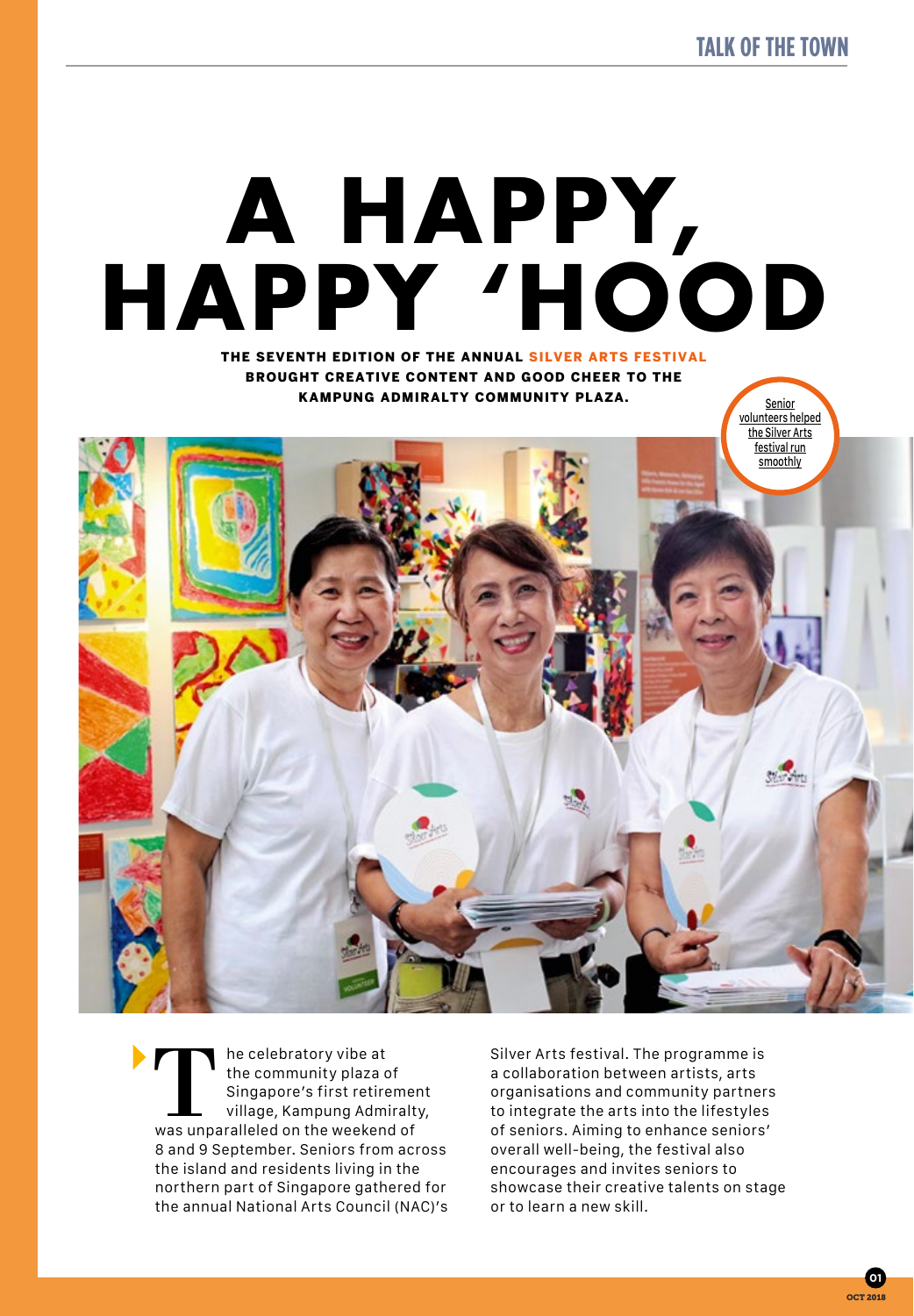**Senior** 

# **A HAPPY, HAPPY 'HOOD**

THE SEVENTH EDITION OF THE ANNUAL SILVER ARTS FESTIVAL BROUGHT CREATIVE CONTENT AND GOOD CHEER TO THE KAMPUNG ADMIRALTY COMMUNITY PLAZA.



The celebratory vibe at<br>
the community plaza of<br>
Singapore's first retirement<br>
village, Kampung Admiralt<br>
was unparalleled on the weekend of the community plaza of Singapore's first retirement village, Kampung Admiralty, 8 and 9 September. Seniors from across the island and residents living in the northern part of Singapore gathered for the annual National Arts Council (NAC)'s

Silver Arts festival. The programme is a collaboration between artists, arts organisations and community partners to integrate the arts into the lifestyles of seniors. Aiming to enhance seniors' overall well-being, the festival also encourages and invites seniors to showcase their creative talents on stage or to learn a new skill.

> OCT 2018 **01**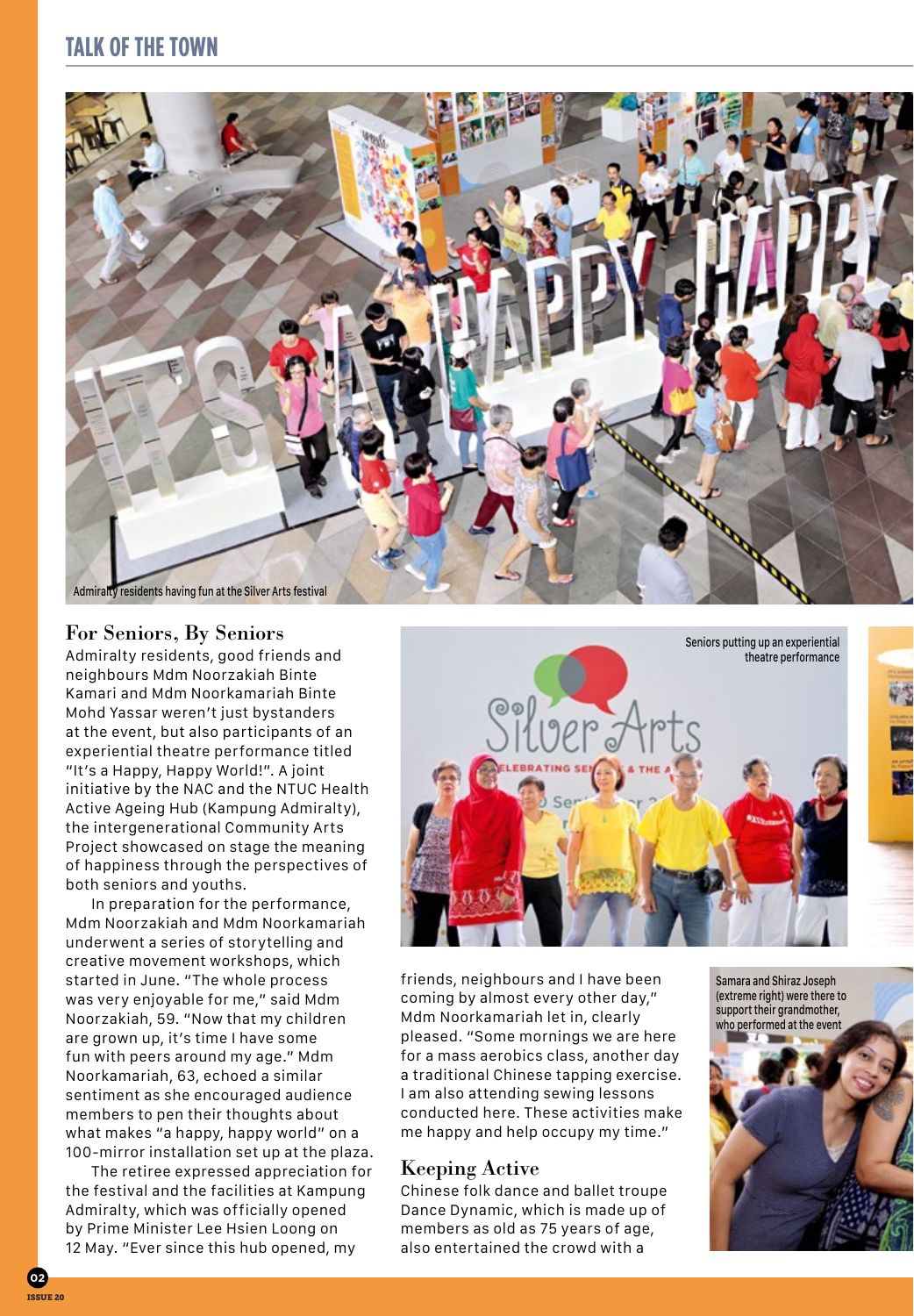### **TALK OF THE TOWN**



#### For Seniors, By Seniors

Admiralty residents, good friends and neighbours Mdm Noorzakiah Binte Kamari and Mdm Noorkamariah Binte Mohd Yassar weren't just bystanders at the event, but also participants of an experiential theatre performance titled "It's a Happy, Happy World!". A joint initiative by the NAC and the NTUC Health Active Ageing Hub (Kampung Admiralty), the intergenerational Community Arts Project showcased on stage the meaning of happiness through the perspectives of both seniors and youths.

In preparation for the performance, Mdm Noorzakiah and Mdm Noorkamariah underwent a series of storytelling and creative movement workshops, which started in June. "The whole process was very enjoyable for me," said Mdm Noorzakiah, 59. "Now that my children are grown up, it's time I have some fun with peers around my age." Mdm Noorkamariah, 63, echoed a similar sentiment as she encouraged audience members to pen their thoughts about what makes "a happy, happy world" on a 100-mirror installation set up at the plaza.

The retiree expressed appreciation for the festival and the facilities at Kampung Admiralty, which was officially opened by Prime Minister Lee Hsien Loong on 12 May. "Ever since this hub opened, my



friends, neighbours and I have been coming by almost every other day," Mdm Noorkamariah let in, clearly pleased. "Some mornings we are here for a mass aerobics class, another day a traditional Chinese tapping exercise. I am also attending sewing lessons conducted here. These activities make me happy and help occupy my time."

#### Keeping Active

Chinese folk dance and ballet troupe Dance Dynamic, which is made up of members as old as 75 years of age, also entertained the crowd with a

Samara and Shiraz Joseph (extreme right) were there to support their grandmother. who performed at the event



**02** Teette 20